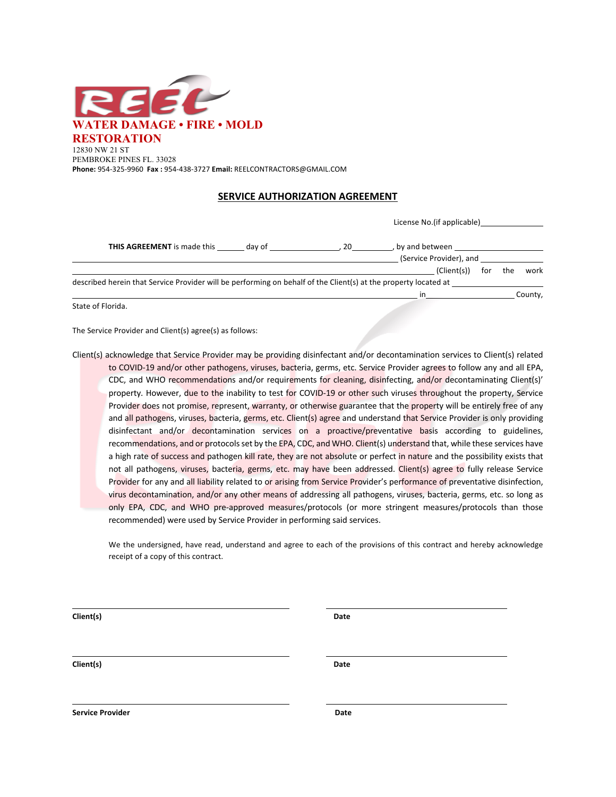

## **SERVICE AUTHORIZATION AGREEMENT**

| THIS AGREEMENT is made this                                                                                     |        |    | License No. (if applicable) |     |     |         |
|-----------------------------------------------------------------------------------------------------------------|--------|----|-----------------------------|-----|-----|---------|
|                                                                                                                 | dav of | 20 | by and between              |     |     |         |
|                                                                                                                 |        |    | (Service Provider), and     |     |     |         |
|                                                                                                                 |        |    | (Client(s))                 | for | the | work    |
| described herein that Service Provider will be performing on behalf of the Client(s) at the property located at |        |    |                             |     |     |         |
|                                                                                                                 |        |    | in                          |     |     | County, |

State of Florida.

The Service Provider and Client(s) agree(s) as follows:

Client(s) acknowledge that Service Provider may be providing disinfectant and/or decontamination services to Client(s) related to COVID-19 and/or other pathogens, viruses, bacteria, germs, etc. Service Provider agrees to follow any and all EPA, CDC, and WHO recommendations and/or requirements for cleaning, disinfecting, and/or decontaminating Client(s)' property. However, due to the inability to test for COVID-19 or other such viruses throughout the property, Service Provider does not promise, represent, warranty, or otherwise guarantee that the property will be entirely free of any and all pathogens, viruses, bacteria, germs, etc. Client(s) agree and understand that Service Provider is only providing disinfectant and/or decontamination services on a proactive/preventative basis according to guidelines, recommendations, and or protocols set by the EPA, CDC, and WHO. Client(s) understand that, while these services have a high rate of success and pathogen kill rate, they are not absolute or perfect in nature and the possibility exists that not all pathogens, viruses, bacteria, germs, etc. may have been addressed. Client(s) agree to fully release Service Provider for any and all liability related to or arising from Service Provider's performance of preventative disinfection, virus decontamination, and/or any other means of addressing all pathogens, viruses, bacteria, germs, etc. so long as only EPA, CDC, and WHO pre-approved measures/protocols (or more stringent measures/protocols than those recommended) were used by Service Provider in performing said services.

We the undersigned, have read, understand and agree to each of the provisions of this contract and hereby acknowledge receipt of a copy of this contract.

**Client(s) Date**

**Client(s) Date**

**Service Provider Contract Contract Contract Contract Contract Contract Contract Contract Contract Contract Contract Contract Contract Contract Contract Contract Contract Contract Contract Contract Contract Contract Contra**